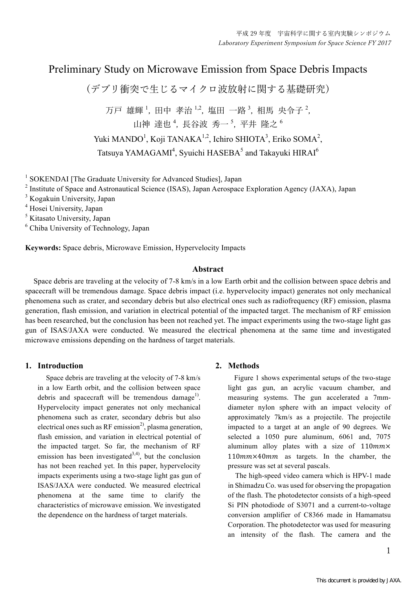# Preliminary Study on Microwave Emission from Space Debris Impacts

(デブリ衝突で⽣じるマイクロ波放射に関する基礎研究)

万戸 雄輝 ', 田中 孝治 '-<sup>2</sup>, 塩田 一路 <sup>3</sup>, 相馬 央令子 <del>'</del>, 山神 達也<sup>4</sup>, 長谷波 秀一5, 平井 隆之6 Yuki MANDO<sup>1</sup>, Koji TANAKA<sup>1,2</sup>, Ichiro SHIOTA<sup>3</sup>, Eriko SOMA<sup>2</sup>, Tatsuya YAMAGAMI<sup>4</sup>, Syuichi HASEBA<sup>5</sup> and Takayuki HIRAI<sup>6</sup>

<sup>1</sup> SOKENDAI [The Graduate University for Advanced Studies], Japan

<sup>2</sup> Institute of Space and Astronautical Science (ISAS), Japan Aerospace Exploration Agency (JAXA), Japan

<sup>3</sup> Kogakuin University, Japan

<sup>4</sup> Hosei University, Japan

<sup>5</sup> Kitasato University, Japan

<sup>6</sup> Chiba University of Technology, Japan

**Keywords:** Space debris, Microwave Emission, Hypervelocity Impacts

# **Abstract**

 Space debris are traveling at the velocity of 7-8 km/s in a low Earth orbit and the collision between space debris and spacecraft will be tremendous damage. Space debris impact (i.e. hypervelocity impact) generates not only mechanical phenomena such as crater, and secondary debris but also electrical ones such as radiofrequency (RF) emission, plasma generation, flash emission, and variation in electrical potential of the impacted target. The mechanism of RF emission has been researched, but the conclusion has been not reached yet. The impact experiments using the two-stage light gas gun of ISAS/JAXA were conducted. We measured the electrical phenomena at the same time and investigated microwave emissions depending on the hardness of target materials.

# **1. Introduction**

 Space debris are traveling at the velocity of 7-8 km/s in a low Earth orbit, and the collision between space debris and spacecraft will be tremendous damage<sup>1)</sup>. Hypervelocity impact generates not only mechanical phenomena such as crater, secondary debris but also electrical ones such as RF emission<sup>2</sup>, plasma generation, flash emission, and variation in electrical potential of the impacted target. So far, the mechanism of RF emission has been investigated<sup>3,4)</sup>, but the conclusion has not been reached yet. In this paper, hypervelocity impacts experiments using a two-stage light gas gun of ISAS/JAXA were conducted. We measured electrical phenomena at the same time to clarify the characteristics of microwave emission. We investigated the dependence on the hardness of target materials.

# **2. Methods**

 Figure 1 shows experimental setups of the two-stage light gas gun, an acrylic vacuum chamber, and measuring systems. The gun accelerated a 7mmdiameter nylon sphere with an impact velocity of approximately 7km/s as a projectile. The projectile impacted to a target at an angle of 90 degrees. We selected a 1050 pure aluminum, 6061 and, 7075 aluminum alloy plates with a size of  $110mm \times$  $110mm\times40mm$  as targets. In the chamber, the pressure was set at several pascals.

 The high-speed video camera which is HPV-1 made in Shimadzu Co. was used for observing the propagation of the flash. The photodetector consists of a high-speed Si PIN photodiode of S3071 and a current-to-voltage conversion amplifier of C8366 made in Hamamatsu Corporation. The photodetector was used for measuring an intensity of the flash. The camera and the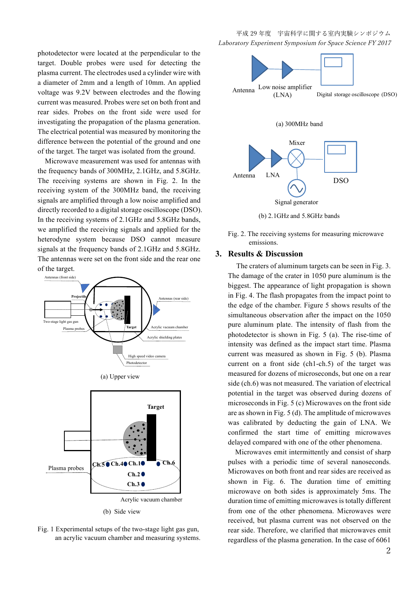photodetector were located at the perpendicular to the target. Double probes were used for detecting the plasma current. The electrodes used a cylinder wire with a diameter of 2mm and a length of 10mm. An applied voltage was 9.2V between electrodes and the flowing current was measured. Probes were set on both front and rear sides. Probes on the front side were used for investigating the propagation of the plasma generation. The electrical potential was measured by monitoring the difference between the potential of the ground and one of the target. The target was isolated from the ground.

 Microwave measurement was used for antennas with the frequency bands of 300MHz, 2.1GHz, and 5.8GHz. The receiving systems are shown in Fig. 2. In the receiving system of the 300MHz band, the receiving signals are amplified through a low noise amplified and directly recorded to a digital storage oscilloscope (DSO). In the receiving systems of 2.1GHz and 5.8GHz bands, we amplified the receiving signals and applied for the heterodyne system because DSO cannot measure signals at the frequency bands of 2.1GHz and 5.8GHz. The antennas were set on the front side and the rear one of the target.





(b) Side view



平成 29 年度 宇宙科学に関する室内実験シンポジウム Laboratory Experiment Symposium for Space Science FY 2017



(b) 2.1GHz and 5.8GHz bands

Fig. 2. The receiving systems for measuring microwave emissions.

#### **3. Results & Discussion**

 The craters of aluminum targets can be seen in Fig. 3. The damage of the crater in 1050 pure aluminum is the biggest. The appearance of light propagation is shown in Fig. 4. The flash propagates from the impact point to the edge of the chamber. Figure 5 shows results of the simultaneous observation after the impact on the 1050 pure aluminum plate. The intensity of flash from the photodetector is shown in Fig. 5 (a). The rise-time of intensity was defined as the impact start time. Plasma current was measured as shown in Fig. 5 (b). Plasma current on a front side (ch1-ch.5) of the target was measured for dozens of microseconds, but one on a rear side (ch.6) was not measured. The variation of electrical potential in the target was observed during dozens of microseconds in Fig. 5 (c) Microwaves on the front side are as shown in Fig. 5 (d). The amplitude of microwaves was calibrated by deducting the gain of LNA. We confirmed the start time of emitting microwaves delayed compared with one of the other phenomena.

 Microwaves emit intermittently and consist of sharp pulses with a periodic time of several nanoseconds. Microwaves on both front and rear sides are received as shown in Fig. 6. The duration time of emitting microwave on both sides is approximately 5ms. The duration time of emitting microwaves is totally different from one of the other phenomena. Microwaves were received, but plasma current was not observed on the rear side. Therefore, we clarified that microwaves emit regardless of the plasma generation. In the case of 6061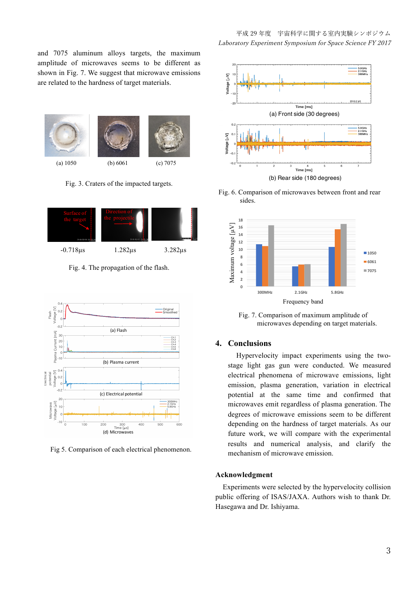and 7075 aluminum alloys targets, the maximum amplitude of microwaves seems to be different as shown in Fig. 7. We suggest that microwave emissions are related to the hardness of target materials.







Fig. 3. Craters of the impacted targets.





 $(20, 7075)$  -0.718µs 1.282µs 3.282µs

Fig. 4. The propagation of the flash.



Fig 5. Comparison of each electrical phenomenon.

平成 29 年度 宇宙科学に関する室内実験シンポジウム Laboratory Experiment Symposium for Space Science FY 2017



Fig. 7. Comparison of maximum amplitude of microwaves depending on target materials.

# **4. Conclusions**

 Hypervelocity impact experiments using the twostage light gas gun were conducted. We measured electrical phenomena of microwave emissions, light emission, plasma generation, variation in electrical potential at the same time and confirmed that microwaves emit regardless of plasma generation. The degrees of microwave emissions seem to be different depending on the hardness of target materials. As our future work, we will compare with the experimental results and numerical analysis, and clarify the mechanism of microwave emission.

## **Acknowledgment**

 Experiments were selected by the hypervelocity collision public offering of ISAS/JAXA. Authors wish to thank Dr. Hasegawa and Dr. Ishiyama.